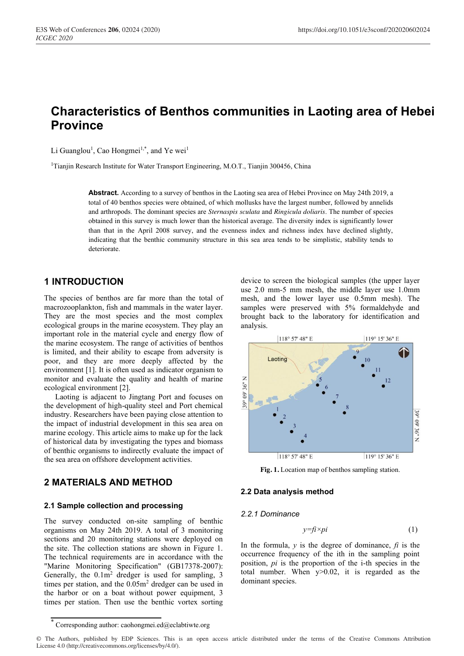# **Characteristics of Benthos communities in Laoting area of Hebei Province**

Li Guanglou<sup>1</sup>, Cao Hongmei<sup>1,\*</sup>, and Ye wei<sup>1</sup>

<sup>1</sup>Tianjin Research Institute for Water Transport Engineering, M.O.T., Tianjin 300456, China

**Abstract.** According to a survey of benthos in the Laoting sea area of Hebei Province on May 24th 2019, a total of 40 benthos species were obtained, of which mollusks have the largest number, followed by annelids and arthropods. The dominant species are *Sternaspis sculata* and *Ringicula doliaris*. The number of species obtained in this survey is much lower than the historical average. The diversity index is significantly lower than that in the April 2008 survey, and the evenness index and richness index have declined slightly, indicating that the benthic community structure in this sea area tends to be simplistic, stability tends to deteriorate.

## **1 INTRODUCTION**

The species of benthos are far more than the total of macrozooplankton, fish and mammals in the water layer. They are the most species and the most complex ecological groups in the marine ecosystem. They play an important role in the material cycle and energy flow of the marine ecosystem. The range of activities of benthos is limited, and their ability to escape from adversity is poor, and they are more deeply affected by the environment [1]. It is often used as indicator organism to monitor and evaluate the quality and health of marine ecological environment [2].

Laoting is adjacent to Jingtang Port and focuses on the development of high-quality steel and Port chemical industry. Researchers have been paying close attention to the impact of industrial development in this sea area on marine ecology. This article aims to make up for the lack of historical data by investigating the types and biomass of benthic organisms to indirectly evaluate the impact of the sea area on offshore development activities.

# **2 MATERIALS AND METHOD**

#### **2.1 Sample collection and processing**

The survey conducted on-site sampling of benthic organisms on May 24th 2019. A total of 3 monitoring sections and 20 monitoring stations were deployed on the site. The collection stations are shown in Figure 1. The technical requirements are in accordance with the "Marine Monitoring Specification" (GB17378-2007): Generally, the  $0.1m^2$  dredger is used for sampling, 3 times per station, and the 0.05m2 dredger can be used in the harbor or on a boat without power equipment, 3 times per station. Then use the benthic vortex sorting

device to screen the biological samples (the upper layer use 2.0 mm-5 mm mesh, the middle layer use 1.0mm mesh, and the lower layer use 0.5mm mesh). The samples were preserved with 5% formaldehyde and brought back to the laboratory for identification and analysis.



**Fig. 1.** Location map of benthos sampling station.

#### **2.2 Data analysis method**

#### *2.2.1 Dominance*

$$
y = f\hat{i} \times p\hat{i} \tag{1}
$$

In the formula,  $y$  is the degree of dominance,  $fi$  is the occurrence frequency of the ith in the sampling point position, *pi* is the proportion of the i-th species in the total number. When y>0.02, it is regarded as the dominant species.

<sup>\*</sup> Corresponding author: caohongmei.ed@eclabtiwte.org

<sup>©</sup> The Authors, published by EDP Sciences. This is an open access article distributed under the terms of the Creative Commons Attribution License 4.0 (http://creativecommons.org/licenses/by/4.0/).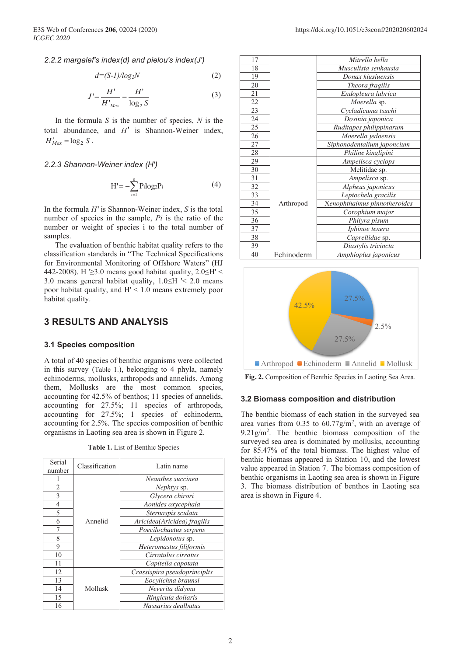$$
d = (S - 1) / log_2 N \tag{2}
$$

$$
J' = \frac{H'}{H'_{\text{Max}}} = \frac{H'}{\log_2 S} \tag{3}
$$

In the formula *S* is the number of species, *N* is the total abundance, and *H′* is Shannon-Weiner index,  $H'_{\text{Mor}} = \log_2 S$ .

*2.2.3 Shannon-Weiner index (H′)*

$$
H' = -\sum_{i=1}^{s} P_i \log_2 P_i \tag{4}
$$

In the formula *H'* is Shannon-Weiner index, *S* is the total number of species in the sample, *Pi* is the ratio of the number or weight of species i to the total number of samples.

The evaluation of benthic habitat quality refers to the classification standards in "The Technical Specifications for Environmental Monitoring of Offshore Waters" (HJ 442-2008). H  $\geq$ 3.0 means good habitat quality, 2.0 $\leq$ H' < 3.0 means general habitat quality, 1.0≤H '< 2.0 means poor habitat quality, and H' < 1.0 means extremely poor habitat quality.

# **3 RESULTS AND ANALYSIS**

### **3.1 Species composition**

A total of 40 species of benthic organisms were collected in this survey (Table 1.), belonging to 4 phyla, namely echinoderms, mollusks, arthropods and annelids. Among them, Mollusks are the most common species, accounting for 42.5% of benthos; 11 species of annelids, accounting for 27.5%; 11 species of arthropods, accounting for 27.5%; 1 species of echinoderm, accounting for 2.5%. The species composition of benthic organisms in Laoting sea area is shown in Figure 2.

**Table 1.** List of Benthic Species

| Serial<br>number | Classification | Latin name                   |  |
|------------------|----------------|------------------------------|--|
|                  |                | Neanthes succinea            |  |
| $\overline{2}$   |                | Nephtys sp.                  |  |
| 3                | Annelid        | Glycera chirori              |  |
| 4                |                | Aonides oxycephala           |  |
| 5                |                | Sternaspis sculata           |  |
| 6                |                | Aricidea(Aricidea) fragilis  |  |
| 7                |                | Poecilochaetus serpens       |  |
| 8                |                | Lepidonotus sp.              |  |
| 9                |                | Heteromastus filiformis      |  |
| 10               |                | Cirratulus cirratus          |  |
| 11               |                | Capitella capotata           |  |
| 12               |                | Crassispira pseudoprinciplts |  |
| 13               |                | Eocylichna braunsi           |  |
| 14               | Mollusk        | Neverita didyma              |  |
| 15               |                | Ringicula doliaris           |  |
| 16               |                | Nassarius dealbatus          |  |





**Fig. 2.** Composition of Benthic Species in Laoting Sea Area.

#### **3.2 Biomass composition and distribution**

The benthic biomass of each station in the surveyed sea area varies from  $0.35$  to  $60.77$ g/m<sup>2</sup>, with an average of 9.21g/m2 . The benthic biomass composition of the surveyed sea area is dominated by mollusks, accounting for 85.47% of the total biomass. The highest value of benthic biomass appeared in Station 10, and the lowest value appeared in Station 7. The biomass composition of benthic organisms in Laoting sea area is shown in Figure 3. The biomass distribution of benthos in Laoting sea area is shown in Figure 4.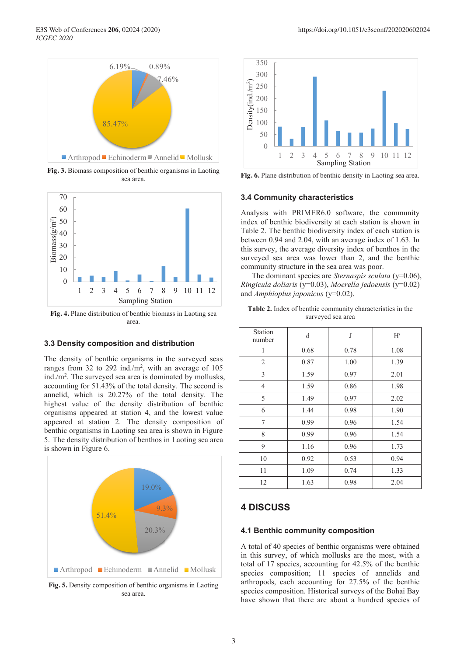

**Fig. 3.** Biomass composition of benthic organisms in Laoting sea area.



**Fig. 4.** Plane distribution of benthic biomass in Laoting sea area.

#### **3.3 Density composition and distribution**

The density of benthic organisms in the surveyed seas ranges from 32 to 292 ind./ $m^2$ , with an average of 105 ind./m2 . The surveyed sea area is dominated by mollusks, accounting for 51.43% of the total density. The second is annelid, which is 20.27% of the total density. The highest value of the density distribution of benthic organisms appeared at station 4, and the lowest value appeared at station 2. The density composition of benthic organisms in Laoting sea area is shown in Figure 5. The density distribution of benthos in Laoting sea area is shown in Figure 6.



**Fig. 5.** Density composition of benthic organisms in Laoting sea area.



**Fig. 6.** Plane distribution of benthic density in Laoting sea area.

#### **3.4 Community characteristics**

Analysis with PRIMER6.0 software, the community index of benthic biodiversity at each station is shown in Table 2. The benthic biodiversity index of each station is between 0.94 and 2.04, with an average index of 1.63. In this survey, the average diversity index of benthos in the surveyed sea area was lower than 2, and the benthic community structure in the sea area was poor.

The dominant species are *Sternaspis sculata* (y=0.06), *Ringicula doliaris* (y=0.03), *Moerella jedoensis* (y=0.02) and *Amphioplus japonicus* (y=0.02).

**Table 2.** Index of benthic community characteristics in the surveyed sea area

| Station<br>number | d    | J    | H'   |
|-------------------|------|------|------|
| 1                 | 0.68 | 0.78 | 1.08 |
| $\overline{2}$    | 0.87 | 1.00 | 1.39 |
| 3                 | 1.59 | 0.97 | 2.01 |
| 4                 | 1.59 | 0.86 | 1.98 |
| 5                 | 1.49 | 0.97 | 2.02 |
| 6                 | 1.44 | 0.98 | 1.90 |
| 7                 | 0.99 | 0.96 | 1.54 |
| 8                 | 0.99 | 0.96 | 1.54 |
| 9                 | 1.16 | 0.96 | 1.73 |
| 10                | 0.92 | 0.53 | 0.94 |
| 11                | 1.09 | 0.74 | 1.33 |
| 12                | 1.63 | 0.98 | 2.04 |

# **4 DISCUSS**

#### **4.1 Benthic community composition**

A total of 40 species of benthic organisms were obtained in this survey, of which mollusks are the most, with a total of 17 species, accounting for 42.5% of the benthic species composition; 11 species of annelids and arthropods, each accounting for 27.5% of the benthic species composition. Historical surveys of the Bohai Bay have shown that there are about a hundred species of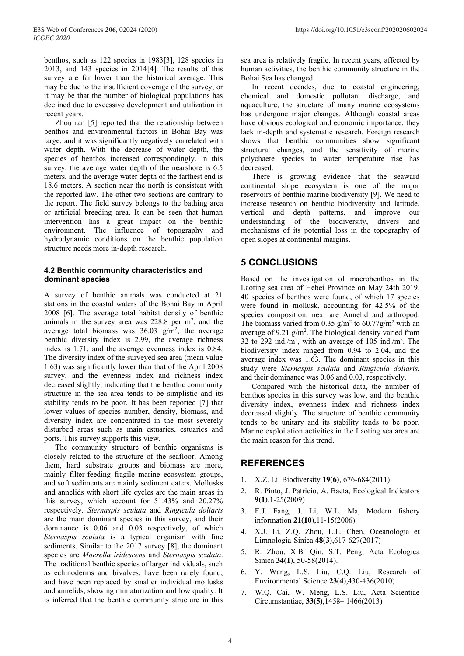benthos, such as 122 species in 1983[3], 128 species in 2013, and 143 species in 2014[4]. The results of this survey are far lower than the historical average. This may be due to the insufficient coverage of the survey, or it may be that the number of biological populations has declined due to excessive development and utilization in recent years.

Zhou ran [5] reported that the relationship between benthos and environmental factors in Bohai Bay was large, and it was significantly negatively correlated with water depth. With the decrease of water depth, the species of benthos increased correspondingly. In this survey, the average water depth of the nearshore is 6.5 meters, and the average water depth of the farthest end is 18.6 meters. A section near the north is consistent with the reported law. The other two sections are contrary to the report. The field survey belongs to the bathing area or artificial breeding area. It can be seen that human intervention has a great impact on the benthic environment. The influence of topography and hydrodynamic conditions on the benthic population structure needs more in-depth research.

## **4.2 Benthic community characteristics and dominant species**

A survey of benthic animals was conducted at 21 stations in the coastal waters of the Bohai Bay in April 2008 [6]. The average total habitat density of benthic animals in the survey area was  $228.8$  per m<sup>2</sup>, and the average total biomass was  $36.03$  g/m<sup>2</sup>, the average benthic diversity index is 2.99, the average richness index is 1.71, and the average evenness index is 0.84. The diversity index of the surveyed sea area (mean value 1.63) was significantly lower than that of the April 2008 survey, and the evenness index and richness index decreased slightly, indicating that the benthic community structure in the sea area tends to be simplistic and its stability tends to be poor. It has been reported [7] that lower values of species number, density, biomass, and diversity index are concentrated in the most severely disturbed areas such as main estuaries, estuaries and ports. This survey supports this view.

The community structure of benthic organisms is closely related to the structure of the seafloor. Among them, hard substrate groups and biomass are more, mainly filter-feeding fragile marine ecosystem groups, and soft sediments are mainly sediment eaters. Mollusks and annelids with short life cycles are the main areas in this survey, which account for 51.43% and 20.27% respectively. *Sternaspis sculata* and *Ringicula doliaris* are the main dominant species in this survey, and their dominance is 0.06 and 0.03 respectively, of which *Sternaspis sculata* is a typical organism with fine sediments. Similar to the 2017 survey [8], the dominant species are *Moerella iridescens* and *Sternaspis sculata*. The traditional benthic species of larger individuals, such as echinoderms and bivalves, have been rarely found, and have been replaced by smaller individual mollusks and annelids, showing miniaturization and low quality. It is inferred that the benthic community structure in this

sea area is relatively fragile. In recent years, affected by human activities, the benthic community structure in the Bohai Sea has changed.

In recent decades, due to coastal engineering, chemical and domestic pollutant discharge, and aquaculture, the structure of many marine ecosystems has undergone major changes. Although coastal areas have obvious ecological and economic importance, they lack in-depth and systematic research. Foreign research shows that benthic communities show significant structural changes, and the sensitivity of marine polychaete species to water temperature rise has decreased.

There is growing evidence that the seaward continental slope ecosystem is one of the major reservoirs of benthic marine biodiversity [9]. We need to increase research on benthic biodiversity and latitude, vertical and depth patterns, and improve our understanding of the biodiversity, drivers and mechanisms of its potential loss in the topography of open slopes at continental margins.

## **5 CONCLUSIONS**

Based on the investigation of macrobenthos in the Laoting sea area of Hebei Province on May 24th 2019. 40 species of benthos were found, of which 17 species were found in mollusk, accounting for 42.5% of the species composition, next are Annelid and arthropod. The biomass varied from 0.35  $g/m^2$  to 60.77 $g/m^2$  with an average of  $9.21$  g/m<sup>2</sup>. The biological density varied from 32 to 292 ind./ $m^2$ , with an average of 105 ind./ $m^2$ . The biodiversity index ranged from 0.94 to 2.04, and the average index was 1.63. The dominant species in this study were *Sternaspis sculata* and *Ringicula doliaris*, and their dominance was 0.06 and 0.03, respectively.

Compared with the historical data, the number of benthos species in this survey was low, and the benthic diversity index, evenness index and richness index decreased slightly. The structure of benthic community tends to be unitary and its stability tends to be poor. Marine exploitation activities in the Laoting sea area are the main reason for this trend.

# **REFERENCES**

- 1. X.Z. Li, Biodiversity **19(6)**, 676-684(2011)
- 2. R. Pinto, J. Patricio, A. Baeta, Ecological Indicators **9(1)**,1-25(2009)
- 3. E.J. Fang, J. Li, W.L. Ma, Modern fishery information **21(10)**,11-15(2006)
- 4. X.J. Li, Z.Q. Zhou, L.L. Chen, Oceanologia et Limnologia Sinica **48(3)**,617-627(2017)
- 5. R. Zhou, X.B. Qin, S.T. Peng, Acta Ecologica Sinica **34(1)**, 50-58(2014).
- 6. Y. Wang, L.S. Liu, C.Q. Liu, Research of Environmental Science **23(4)**,430-436(2010)
- 7. W.Q. Cai, W. Meng, L.S. Liu, Acta Scientiae Circumstantiae, **33(5)**,1458– 1466(2013)